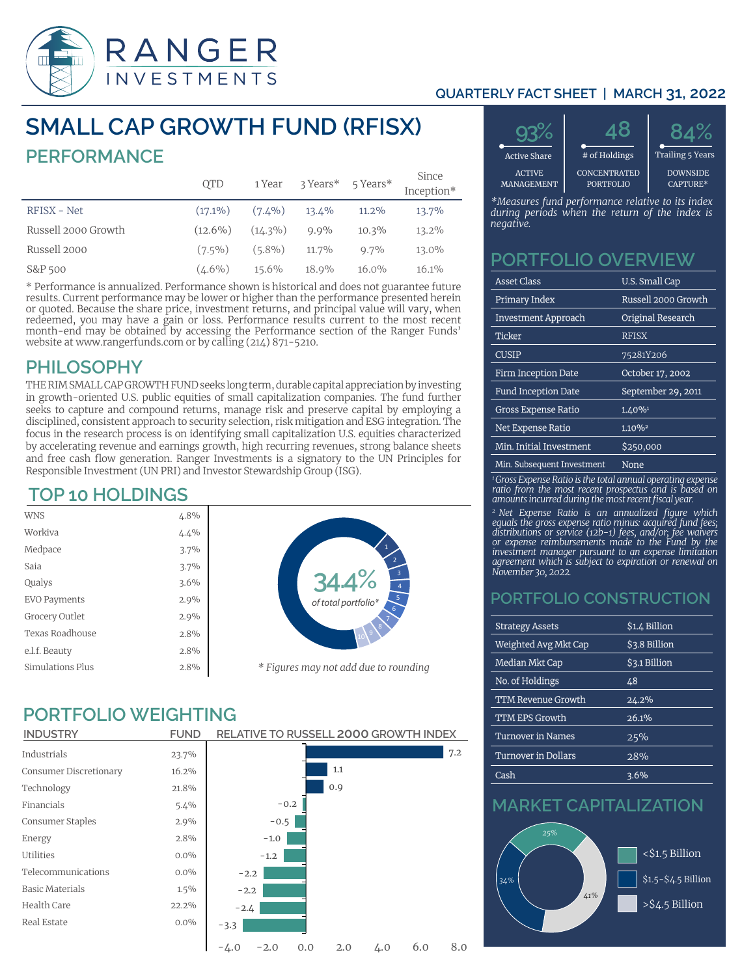

#### **QUARTERLY FACT SHEET | MARCH 31, 2022**

# **SMALL CAP GROWTH FUND (RFISX) PERFORMANCE**

|                     | <b>QTD</b> | 1 Year     | 3 Years* 5 Years* |          | Since<br>Inception* |
|---------------------|------------|------------|-------------------|----------|---------------------|
| RFISX - Net         | $(17.1\%)$ | $(7.4\%)$  | 13.4%             | $11.2\%$ | 13.7%               |
| Russell 2000 Growth | $(12.6\%)$ | $(14.3\%)$ | $9.9\%$           | 10.3%    | 13.2%               |
| Russell 2000        | $(7.5\%)$  | $(5.8\%)$  | 11.7%             | $9.7\%$  | 13.0%               |
| S&P 500             | $(4.6\%)$  | 15.6%      | 18.9%             | $16.0\%$ | 16.1%               |

\* Performance is annualized. Performance shown is historical and does not guarantee future results. Current performance may be lower or higher than the performance presented herein or quoted. Because the share price, investment returns, and principal value will vary, when redeemed, you may have a gain or loss. Performance results current to the most recent month-end may be obtained by accessing the Performance section of the Ranger Funds' website at www.rangerfunds.com or by calling (214) 871-5210.

### **PHILOSOPHY**

THE RIM SMALL CAP GROWTH FUND seeks long term, durable capital appreciation by investing in growth-oriented U.S. public equities of small capitalization companies. The fund further seeks to capture and compound returns, manage risk and preserve capital by employing a disciplined, consistent approach to security selection, risk mitigation and ESG integration. The focus in the research process is on identifying small capitalization U.S. equities characterized by accelerating revenue and earnings growth, high recurring revenues, strong balance sheets and free cash flow generation. Ranger Investments is a signatory to the UN Principles for Responsible Investment (UN PRI) and Investor Stewardship Group (ISG).

## **TOP 10 HOLDINGS**

| <b>WNS</b>          | 4.8% |                    |
|---------------------|------|--------------------|
| Workiya             | 4.4% |                    |
| Medpace             | 3.7% |                    |
| Saia                | 3.7% |                    |
| Qualys              | 3.6% |                    |
| <b>EVO Payments</b> | 2.9% |                    |
| Grocery Outlet      | 2.9% |                    |
| Texas Roadhouse     | 2.8% |                    |
| e.l.f. Beauty       | 2.8% |                    |
| Simulations Plus    | 2.8% | $*$ $\overline{1}$ |
|                     |      |                    |



## **PORTFOLIO WEIGHTING**

| <b>INDUSTRY</b>        | <b>FUND</b> | <b>RELATIVE TO RUSSELL 2000 GROWTH INDEX</b>        |
|------------------------|-------------|-----------------------------------------------------|
| Industrials            | 23.7%       | 7.2                                                 |
| Consumer Discretionary | 16.2%       | 1.1                                                 |
| Technology             | 21.8%       | 0.9                                                 |
| Financials             | 5.4%        | $-0.2$                                              |
| Consumer Staples       | 2.9%        | $-0.5$                                              |
| Energy                 | 2.8%        | $-1.0$                                              |
| Utilities              | $0.0\%$     | $-1.2$                                              |
| Telecommunications     | $0.0\%$     | $-2.2$                                              |
| <b>Basic Materials</b> | $1.5\%$     | $-2.2$                                              |
| Health Care            | 22.2%       | $-2.4$                                              |
| Real Estate            | $0.0\%$     | $-3.3$                                              |
|                        |             | 6.0<br>8.0<br>$-2.0$<br>2.0<br>4.0<br>$-4.0$<br>0.0 |



*\*Measures fund performance relative to its index during periods when the return of the index is negative.*

### **PORTFOLIO OVERVIEW**

| <b>Asset Class</b>         | U.S. Small Cap           |
|----------------------------|--------------------------|
| Primary Index              | Russell 2000 Growth      |
| <b>Investment Approach</b> | <b>Original Research</b> |
| <b>Ticker</b>              | <b>RFISX</b>             |
| <b>CUSIP</b>               | 75281Y206                |
| <b>Firm Inception Date</b> | October 17, 2002         |
| <b>Fund Inception Date</b> | September 29, 2011       |
| <b>Gross Expense Ratio</b> | 1.40%                    |
| <b>Net Expense Ratio</b>   | 1.10%                    |
| Min. Initial Investment    | \$250,000                |
| Min. Subsequent Investment | None                     |

*1 Gross Expense Ratio is the total annual operating expense ratio from the most recent prospectus and is based on amounts incurred during the most recent fiscal year.*

*<sup>2</sup>Net Expense Ratio is an annualized figure which equals the gross expense ratio minus: acquired fund fees; distributions or service (12b-1) fees, and/or; fee waivers or expense reimbursements made to the Fund by the investment manager pursuant to an expense limitation agreement which is subject to expiration or renewal on November 30, 2022.* 

### **PORTFOLIO CONSTRUCTION**

| <b>Strategy Assets</b>     | \$1.4 Billion        |
|----------------------------|----------------------|
| Weighted Avg Mkt Cap       | <b>\$3.8 Billion</b> |
| <b>Median Mkt Cap</b>      | <b>\$3.1 Billion</b> |
| No. of Holdings            | 48                   |
| <b>TTM Revenue Growth</b>  | 24.2%                |
| <b>TTM EPS Growth</b>      | 26.1%                |
| <b>Turnover in Names</b>   | 25%                  |
| <b>Turnover in Dollars</b> | 28%                  |
| Cash                       | 3.6%                 |

## **MARKET CAPITALIZATION**